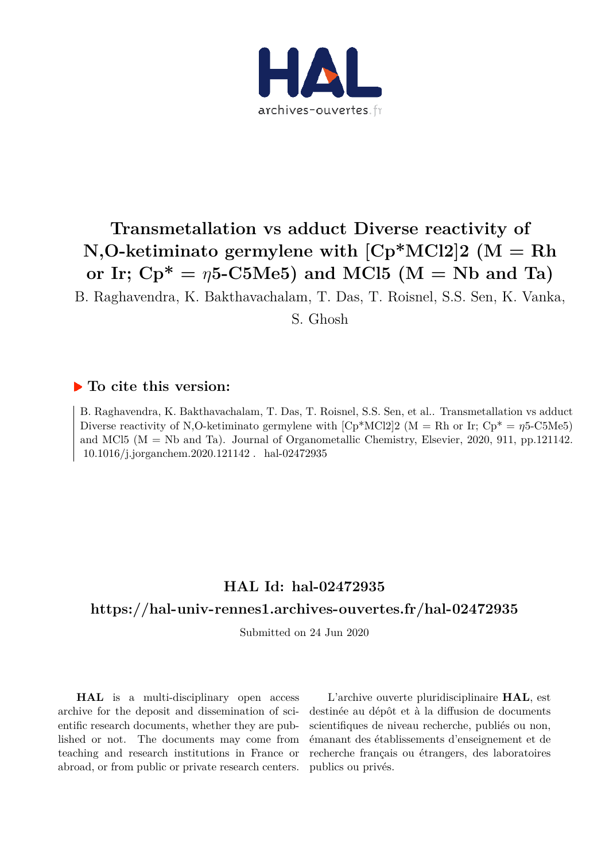

# **Transmetallation vs adduct Diverse reactivity of N,O-ketiminato germylene with [Cp\*MCl2]2 (M = Rh** or Ir;  $Cp^* = \eta 5\text{-C5Me5}$  and MCl5 (M = Nb and Ta)

B. Raghavendra, K. Bakthavachalam, T. Das, T. Roisnel, S.S. Sen, K. Vanka,

S. Ghosh

#### **To cite this version:**

B. Raghavendra, K. Bakthavachalam, T. Das, T. Roisnel, S.S. Sen, et al.. Transmetallation vs adduct Diverse reactivity of N,O-ketiminato germylene with  $[Cp*MC12]$  (M = Rh or Ir;  $Cp* = \eta 5$ -C5Me5) and MCl5 (M = Nb and Ta). Journal of Organometallic Chemistry, Elsevier, 2020, 911, pp.121142. 10.1016/j.jorganchem.2020.121142. hal-02472935

## **HAL Id: hal-02472935**

### **https://hal-univ-rennes1.archives-ouvertes.fr/hal-02472935**

Submitted on 24 Jun 2020

**HAL** is a multi-disciplinary open access archive for the deposit and dissemination of scientific research documents, whether they are published or not. The documents may come from teaching and research institutions in France or abroad, or from public or private research centers.

L'archive ouverte pluridisciplinaire **HAL**, est destinée au dépôt et à la diffusion de documents scientifiques de niveau recherche, publiés ou non, émanant des établissements d'enseignement et de recherche français ou étrangers, des laboratoires publics ou privés.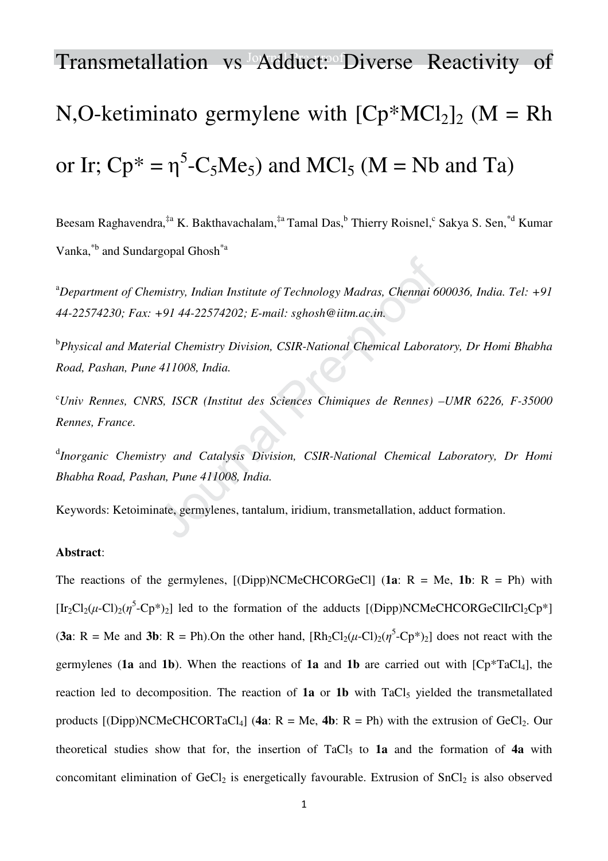# Transmetallation vs Adduct: Diverse Reactivity of N,O-ketiminato germylene with  $[Cp*MCl_2]_2$  (M = Rh or Ir;  $Cp^* = \eta^5 - C_5Me_5$  and MCl<sub>5</sub> (M = Nb and Ta)

Beesam Raghavendra,<sup>‡a</sup> K. Bakthavachalam,<sup>‡a</sup> Tamal Das,<sup>b</sup> Thierry Roisnel,<sup>c</sup> Sakya S. Sen,<sup>\*d</sup> Kumar Vanka,\*b and Sundargopal Ghosh\*a

<sup>a</sup>*Department of Chemistry, Indian Institute of Technology Madras, Chennai 600036, India. Tel: +91 44-22574230; Fax: +91 44-22574202; E-mail: sghosh@iitm.ac.in.* 

b *Physical and Material Chemistry Division, CSIR-National Chemical Laboratory, Dr Homi Bhabha Road, Pashan, Pune 411008, India.* 

<sup>c</sup>*Univ Rennes, CNRS, ISCR (Institut des Sciences Chimiques de Rennes) –UMR 6226, F-35000 Rennes, France.* 

<sup>d</sup>Inorganic Chemistry and Catalysis Division, CSIR-National Chemical Laboratory, Dr Homi *Bhabha Road, Pashan, Pune 411008, India.* 

Keywords: Ketoiminate, germylenes, tantalum, iridium, transmetallation, adduct formation.

#### **Abstract**:

The reactions of the germylenes,  $[(Dipp)NCMeCHCORGeCl]$  (1a: R = Me, 1b: R = Ph) with [Ir<sub>2</sub>Cl<sub>2</sub>( $\mu$ -Cl)<sub>2</sub>( $\eta$ <sup>5</sup>-Cp<sup>\*</sup>)<sub>2</sub>] led to the formation of the adducts [(Dipp)NCMeCHCORGeClIrCl<sub>2</sub>Cp<sup>\*</sup>] (**3a**: R = Me and **3b**: R = Ph). On the other hand,  $[Rh_2Cl_2(\mu$ -Cl)<sub>2</sub>( $\eta$ <sup>5</sup>-Cp<sup>\*</sup>)<sub>2</sub>] does not react with the germylenes (**1a** and **1b**). When the reactions of **1a** and **1b** are carried out with  $[Cp^*TaCl_4]$ , the reaction led to decomposition. The reaction of  $1a$  or  $1b$  with TaCl<sub>5</sub> yielded the transmetallated products  $[(Dipp)NCMeCHCORTaCl<sub>4</sub>]$  (4a: R = Me, 4b: R = Ph) with the extrusion of GeCl<sub>2</sub>. Our theoretical studies show that for, the insertion of TaCl5 to **1a** and the formation of **4a** with concomitant elimination of  $GeCl<sub>2</sub>$  is energetically favourable. Extrusion of  $SnCl<sub>2</sub>$  is also observed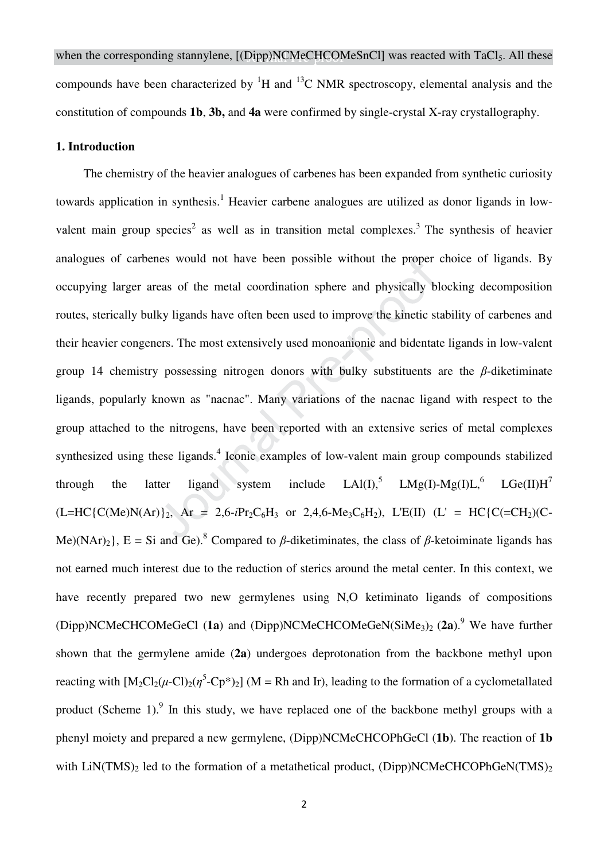#### **1. Introduction**

The chemistry of the heavier analogues of carbenes has been expanded from synthetic curiosity towards application in synthesis.<sup>1</sup> Heavier carbene analogues are utilized as donor ligands in lowvalent main group species<sup>2</sup> as well as in transition metal complexes.<sup>3</sup> The synthesis of heavier analogues of carbenes would not have been possible without the proper choice of ligands. By occupying larger areas of the metal coordination sphere and physically blocking decomposition routes, sterically bulky ligands have often been used to improve the kinetic stability of carbenes and their heavier congeners. The most extensively used monoanionic and bidentate ligands in low-valent group 14 chemistry possessing nitrogen donors with bulky substituents are the *β*-diketiminate ligands, popularly known as "nacnac". Many variations of the nacnac ligand with respect to the group attached to the nitrogens, have been reported with an extensive series of metal complexes synthesized using these ligands. $4$  Iconic examples of low-valent main group compounds stabilized through the latter ligand system include  $LA(I),^5$   $LMg(I)-Mg(I)L,^6$   $LGe(II)H^7$  $(L=HC{C(Me)N(Ar)}_2$ , Ar = 2,6-*i*Pr<sub>2</sub>C<sub>6</sub>H<sub>3</sub> or 2,4,6-Me<sub>3</sub>C<sub>6</sub>H<sub>2</sub>), L'E(II) (L' = HC{C(=CH<sub>2</sub>)(C-Me)(NAr)<sub>2</sub>, E = Si and Ge).<sup>8</sup> Compared to  $\beta$ -diketiminates, the class of  $\beta$ -ketoiminate ligands has not earned much interest due to the reduction of sterics around the metal center. In this context, we have recently prepared two new germylenes using N,O ketiminato ligands of compositions (Dipp)NCMeCHCOMeGeCl (1a) and (Dipp)NCMeCHCOMeGeN(SiMe<sub>3</sub>)<sub>2</sub> (2a).<sup>9</sup> We have further shown that the germylene amide (**2a**) undergoes deprotonation from the backbone methyl upon reacting with  $[M_2Cl_2(\mu$ -Cl)<sub>2</sub>( $\eta$ <sup>5</sup>-Cp<sup>\*</sup>)<sub>2</sub>] (M = Rh and Ir), leading to the formation of a cyclometallated product (Scheme 1). $9$  In this study, we have replaced one of the backbone methyl groups with a phenyl moiety and prepared a new germylene, (Dipp)NCMeCHCOPhGeCl (**1b**). The reaction of **1b** with LiN(TMS)<sub>2</sub> led to the formation of a metathetical product, (Dipp)NCMeCHCOPhGeN(TMS)<sub>2</sub>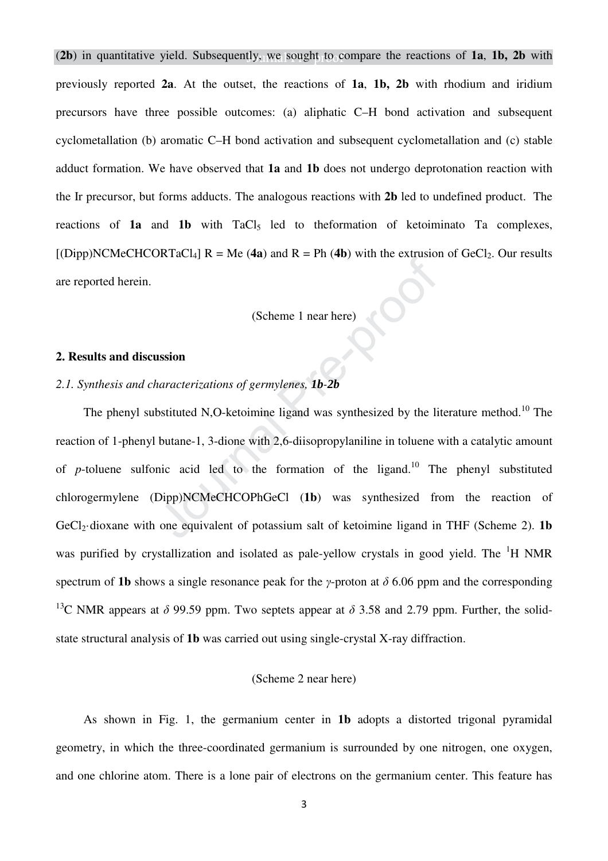(**2b**) in quantitative yield. Subsequently, we sought to compare the reactions of **1a**, **1b, 2b** with previously reported **2a**. At the outset, the reactions of **1a**, **1b, 2b** with rhodium and iridium precursors have three possible outcomes: (a) aliphatic C–H bond activation and subsequent cyclometallation (b) aromatic C–H bond activation and subsequent cyclometallation and (c) stable adduct formation. We have observed that **1a** and **1b** does not undergo deprotonation reaction with the Ir precursor, but forms adducts. The analogous reactions with **2b** led to undefined product. The reactions of **1a** and **1b** with TaCl<sub>5</sub> led to theformation of ketoiminato Ta complexes,  $[(Dipp)NCMeCHCORTaCl<sub>4</sub>]$  R = Me (4a) and R = Ph (4b) with the extrusion of GeCl<sub>2</sub>. Our results are reported herein. (Scheme 1 near here)

#### **2. Results and discussion**

#### *2.1. Synthesis and characterizations of germylenes, 1b-2b*

The phenyl substituted N,O-ketoimine ligand was synthesized by the literature method.<sup>10</sup> The reaction of 1-phenyl butane-1, 3-dione with 2,6-diisopropylaniline in toluene with a catalytic amount of *p*-toluene sulfonic acid led to the formation of the ligand.<sup>10</sup> The phenyl substituted chlorogermylene (Dipp)NCMeCHCOPhGeCl (**1b**) was synthesized from the reaction of GeCl<sub>2</sub>·dioxane with one equivalent of potassium salt of ketoimine ligand in THF (Scheme 2). **1b** was purified by crystallization and isolated as pale-yellow crystals in good yield. The  ${}^{1}H$  NMR spectrum of **1b** shows a single resonance peak for the *γ*-proton at *δ* 6.06 ppm and the corresponding <sup>13</sup>C NMR appears at  $\delta$  99.59 ppm. Two septets appear at  $\delta$  3.58 and 2.79 ppm. Further, the solidstate structural analysis of **1b** was carried out using single-crystal X-ray diffraction.

#### (Scheme 2 near here)

As shown in Fig. 1, the germanium center in **1b** adopts a distorted trigonal pyramidal geometry, in which the three-coordinated germanium is surrounded by one nitrogen, one oxygen, and one chlorine atom. There is a lone pair of electrons on the germanium center. This feature has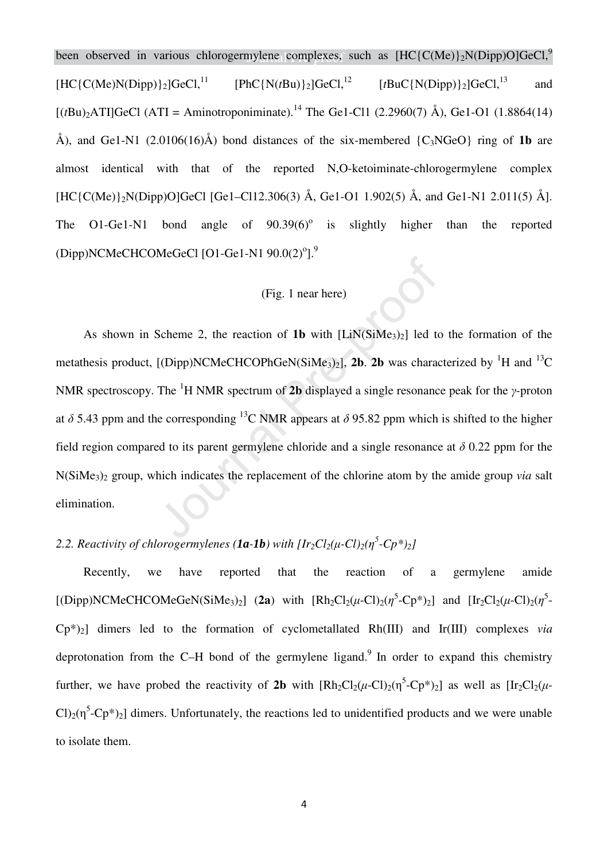been observed in various chlorogermylene complexes, such as  $[HC{C(Me)}_2N(Dipp)O]GeCl<sup>9</sup>$  $[HC(CMe)N(Dipp)]_2]GeCl$ <sup>11</sup><br>[PhC{N(*t*Bu)}<sub>2</sub>]GeCl,<sup>12</sup> [*t*BuC{N(Dipp)}<sub>2</sub>]GeCl,<sup>13</sup> and  $[(tBu)_{2}ATI]GeCl$  (ATI = Aminotroponiminate).<sup>14</sup> The Ge1-Cl1 (2.2960(7) Å), Ge1-O1 (1.8864(14) Å), and Ge1-N1  $(2.0106(16)\text{\AA})$  bond distances of the six-membered  $\{C_3NGeO\}$  ring of **1b** are almost identical with that of the reported N,O-ketoiminate-chlorogermylene complex  $[HC{C(Me)}_2N(Dipp)O]$ GeCl  $[Ge1-C112.306(3)$  Å, Ge1-O1 1.902(5) Å, and Ge1-N1 2.011(5) Å]. The O1-Ge1-N1 bond angle of  $90.39(6)$ <sup>o</sup> is slightly higher than the reported (Dipp)NCMeCHCOMeGeCl [O1-Ge1-N1  $90.0(2)^{o}$ ].<sup>9</sup>

#### (Fig. 1 near here)

As shown in Scheme 2, the reaction of 1b with [LiN(SiMe<sub>3</sub>)<sub>2</sub>] led to the formation of the metathesis product,  $[(Dipp)NCMeCHCOPhGen(SiMe<sub>3</sub>)<sub>2</sub>],$  **2b**. **2b** was characterized by <sup>1</sup>H and <sup>13</sup>C NMR spectroscopy. The <sup>1</sup>H NMR spectrum of **2b** displayed a single resonance peak for the *γ*-proton at  $\delta$  5.43 ppm and the corresponding <sup>13</sup>C NMR appears at  $\delta$  95.82 ppm which is shifted to the higher field region compared to its parent germylene chloride and a single resonance at *δ* 0.22 ppm for the N(SiMe3)2 group, which indicates the replacement of the chlorine atom by the amide group *via* salt elimination.

## 2.2. Reactivity of chlorogermylenes (**1a-1b**) with  $[Ir_2Cl_2(\mu$ -Cl $)_2(\eta^5$ -Cp<sup>\*</sup> $)_2$ ]

Recently, we have reported that the reaction of a germylene amide [(Dipp)NCMeCHCOMeGeN(SiMe<sub>3</sub>)<sub>2</sub>] (2a) with  $[Rh_2Cl_2(\mu$ -Cl)<sub>2</sub>( $\eta$ <sup>5</sup>-Cp<sup>\*</sup>)<sub>2</sub>] and  $[Ir_2Cl_2(\mu$ -Cl)<sub>2</sub>( $\eta$ <sup>5</sup>- $\text{Cp*}$ )<sub>2</sub>] dimers led to the formation of cyclometallated Rh(III) and Ir(III) complexes *via* deprotonation from the C–H bond of the germylene ligand.<sup>9</sup> In order to expand this chemistry further, we have probed the reactivity of 2b with  $[Rh_2Cl_2(\mu-Cl)_2(\eta^5-Cp^*)_2]$  as well as  $[Ir_2Cl_2(\mu-Cl)_2]$  $Cl_2(\eta^5$ -Cp<sup>\*</sup>)<sub>2</sub>] dimers. Unfortunately, the reactions led to unidentified products and we were unable to isolate them.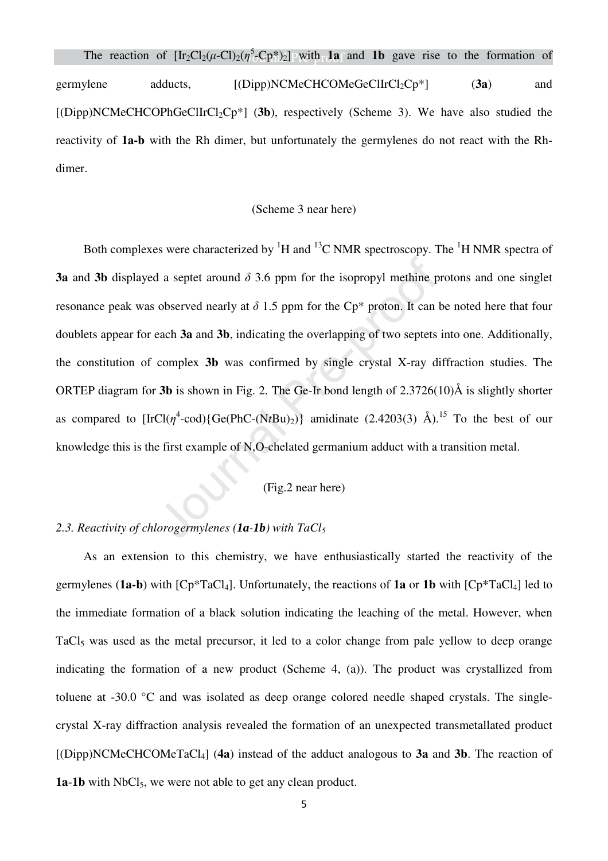The reaction of  $[\text{Ir}_2\text{Cl}_2(\mu-\text{Cl})_2(\eta^5-\text{Cp*})_2]$  with **1a** and **1b** gave rise to the formation of germylene adducts,  $[(Dipp)NCMeCHCOMeGeClIrCl<sub>2</sub>CP<sup>*</sup>]$  (3a) and  $[(Dipp)NCMeCHCOPhGeClIrCl<sub>2</sub>CP<sup>*</sup>]$  (3b), respectively (Scheme 3). We have also studied the reactivity of **1a-b** with the Rh dimer, but unfortunately the germylenes do not react with the Rhdimer.

#### (Scheme 3 near here)

Both complexes were characterized by  ${}^{1}H$  and  ${}^{13}C$  NMR spectroscopy. The  ${}^{1}H$  NMR spectra of **3a** and **3b** displayed a septet around *δ* 3.6 ppm for the isopropyl methine protons and one singlet resonance peak was observed nearly at  $\delta$  1.5 ppm for the Cp<sup>\*</sup> proton. It can be noted here that four doublets appear for each **3a** and **3b**, indicating the overlapping of two septets into one. Additionally, the constitution of complex **3b** was confirmed by single crystal X-ray diffraction studies. The ORTEP diagram for **3b** is shown in Fig. 2. The Ge-Ir bond length of 2.3726(10)Å is slightly shorter as compared to  $[\text{IrCl}(\eta^4\text{-cod})\{\text{Ge}(\text{PhC}(\text{NtBu})_2)\}\)$  amidinate (2.4203(3) Å).<sup>15</sup> To the best of our knowledge this is the first example of N,O-chelated germanium adduct with a transition metal.

#### (Fig.2 near here)

#### *2.3. Reactivity of chlorogermylenes (1a-1b) with TaCl<sup>5</sup>*

As an extension to this chemistry, we have enthusiastically started the reactivity of the germylenes ( $1a-b$ ) with  $[Cp*TaCl_4]$ . Unfortunately, the reactions of  $1a$  or  $1b$  with  $[Cp*TaCl_4]$  led to the immediate formation of a black solution indicating the leaching of the metal. However, when TaCl<sub>5</sub> was used as the metal precursor, it led to a color change from pale yellow to deep orange indicating the formation of a new product (Scheme 4, (a)). The product was crystallized from toluene at -30.0 °C and was isolated as deep orange colored needle shaped crystals. The singlecrystal X-ray diffraction analysis revealed the formation of an unexpected transmetallated product [(Dipp)NCMeCHCOMeTaCl4] (**4a**) instead of the adduct analogous to **3a** and **3b**. The reaction of 1a-1b with NbCl<sub>5</sub>, we were not able to get any clean product.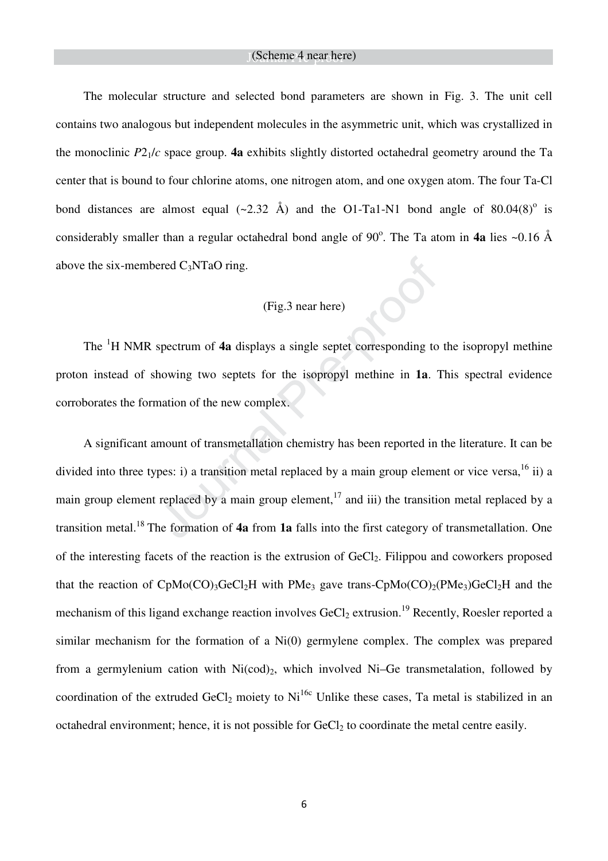The molecular structure and selected bond parameters are shown in Fig. 3. The unit cell contains two analogous but independent molecules in the asymmetric unit, which was crystallized in the monoclinic  $P2_1/c$  space group. **4a** exhibits slightly distorted octahedral geometry around the Ta center that is bound to four chlorine atoms, one nitrogen atom, and one oxygen atom. The four Ta-Cl bond distances are almost equal  $(\sim 2.32 \text{ Å})$  and the O1-Ta1-N1 bond angle of 80.04(8)<sup>o</sup> is considerably smaller than a regular octahedral bond angle of 90°. The Ta atom in 4a lies ~0.16 Å above the six-membered  $C_3NTaO$  ring.

#### (Fig.3 near here)

The <sup>1</sup>H NMR spectrum of **4a** displays a single septet corresponding to the isopropyl methine proton instead of showing two septets for the isopropyl methine in **1a**. This spectral evidence corroborates the formation of the new complex.

A significant amount of transmetallation chemistry has been reported in the literature. It can be divided into three types: i) a transition metal replaced by a main group element or vice versa,  $^{16}$  ii) a main group element replaced by a main group element,<sup>17</sup> and iii) the transition metal replaced by a transition metal.<sup>18</sup> The formation of **4a** from **1a** falls into the first category of transmetallation. One of the interesting facets of the reaction is the extrusion of GeCl<sub>2</sub>. Filippou and coworkers proposed that the reaction of  $CpMo(CO)$ <sub>3</sub>GeCl<sub>2</sub>H with PMe<sub>3</sub> gave trans-CpMo(CO)<sub>2</sub>(PMe<sub>3</sub>)GeCl<sub>2</sub>H and the mechanism of this ligand exchange reaction involves  $GeCl_2$  extrusion.<sup>19</sup> Recently, Roesler reported a similar mechanism for the formation of a Ni(0) germylene complex. The complex was prepared from a germylenium cation with  $Ni(cod)_2$ , which involved Ni–Ge transmetalation, followed by coordination of the extruded  $GeCl_2$  moiety to Ni<sup>16c</sup> Unlike these cases, Ta metal is stabilized in an octahedral environment; hence, it is not possible for  $GeCl<sub>2</sub>$  to coordinate the metal centre easily.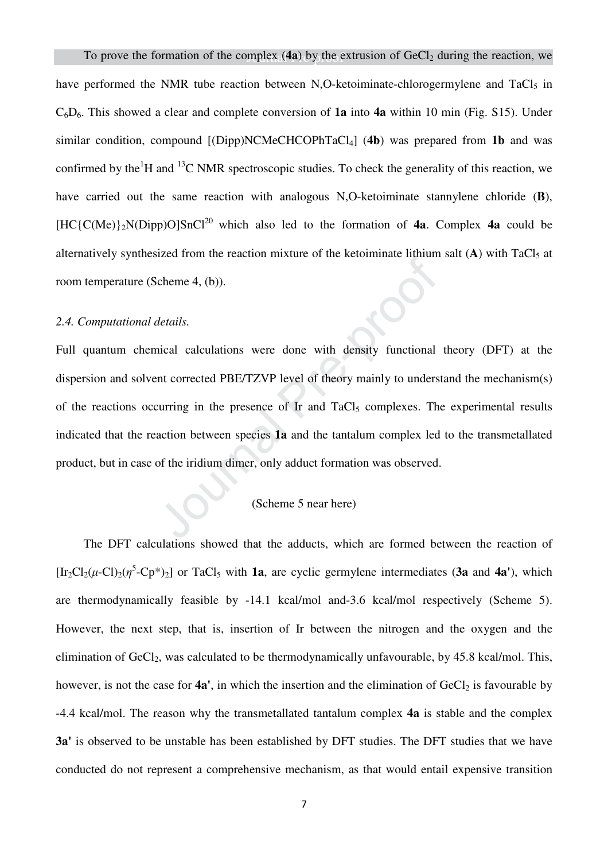have performed the NMR tube reaction between N,O-ketoiminate-chlorogermylene and TaCl<sub>5</sub> in C6D6. This showed a clear and complete conversion of **1a** into **4a** within 10 min (Fig. S15). Under similar condition, compound [(Dipp)NCMeCHCOPhTaCl4] (**4b**) was prepared from **1b** and was confirmed by the<sup>1</sup>H and <sup>13</sup>C NMR spectroscopic studies. To check the generality of this reaction, we have carried out the same reaction with analogous N,O-ketoiminate stannylene chloride (**B**),  $[HC(CMe)]_2N(Dipp)O]SnCl^{20}$  which also led to the formation of **4a**. Complex **4a** could be alternatively synthesized from the reaction mixture of the ketoiminate lithium salt  $(A)$  with TaCl<sub>5</sub> at room temperature (Scheme 4, (b)).

#### *2.4. Computational details.*

Full quantum chemical calculations were done with density functional theory (DFT) at the dispersion and solvent corrected PBE/TZVP level of theory mainly to understand the mechanism(s) of the reactions occurring in the presence of Ir and TaCl<sub>5</sub> complexes. The experimental results indicated that the reaction between species **1a** and the tantalum complex led to the transmetallated product, but in case of the iridium dimer, only adduct formation was observed.

#### (Scheme 5 near here)

The DFT calculations showed that the adducts, which are formed between the reaction of  $[\text{Ir}_2\text{Cl}_2(\mu-\text{Cl})_2(\eta^5-\text{Cp*})_2]$  or TaCl<sub>5</sub> with **1a**, are cyclic germylene intermediates (3a and 4a'), which are thermodynamically feasible by -14.1 kcal/mol and-3.6 kcal/mol respectively (Scheme 5). However, the next step, that is, insertion of Ir between the nitrogen and the oxygen and the elimination of GeCl<sub>2</sub>, was calculated to be thermodynamically unfavourable, by 45.8 kcal/mol. This, however, is not the case for **4a'**, in which the insertion and the elimination of GeCl<sub>2</sub> is favourable by -4.4 kcal/mol. The reason why the transmetallated tantalum complex **4a** is stable and the complex **3a'** is observed to be unstable has been established by DFT studies. The DFT studies that we have conducted do not represent a comprehensive mechanism, as that would entail expensive transition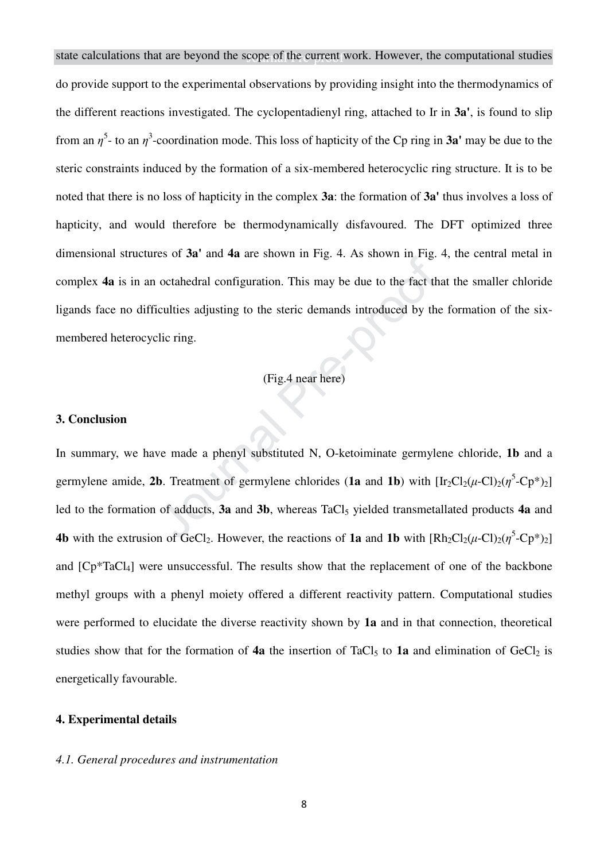state calculations that are beyond the scope of the current work. However, the computational studies do provide support to the experimental observations by providing insight into the thermodynamics of the different reactions investigated. The cyclopentadienyl ring, attached to Ir in **3a'**, is found to slip from an  $\eta^5$ - to an  $\eta^3$ -coordination mode. This loss of hapticity of the Cp ring in **3a'** may be due to the steric constraints induced by the formation of a six-membered heterocyclic ring structure. It is to be noted that there is no loss of hapticity in the complex **3a**: the formation of **3a'** thus involves a loss of hapticity, and would therefore be thermodynamically disfavoured. The DFT optimized three dimensional structures of **3a'** and **4a** are shown in Fig. 4. As shown in Fig. 4, the central metal in complex **4a** is in an octahedral configuration. This may be due to the fact that the smaller chloride ligands face no difficulties adjusting to the steric demands introduced by the formation of the sixmembered heterocyclic ring.

#### (Fig.4 near here)

#### **3. Conclusion**

In summary, we have made a phenyl substituted N, O-ketoiminate germylene chloride, **1b** and a germylene amide, 2b. Treatment of germylene chlorides (1a and 1b) with  $[\text{Ir}_2\text{Cl}_2(\mu-\text{Cl})_2(\eta^5-\text{Cp*})_2]$ led to the formation of adducts, **3a** and **3b**, whereas TaCl<sub>5</sub> yielded transmetallated products **4a** and **4b** with the extrusion of GeCl<sub>2</sub>. However, the reactions of **1a** and **1b** with  $[Rh_2Cl_2(\mu\text{-Cl})_2(\eta^5\text{-}Cp^*)_2]$ and [Cp\*TaCl4] were unsuccessful. The results show that the replacement of one of the backbone methyl groups with a phenyl moiety offered a different reactivity pattern. Computational studies were performed to elucidate the diverse reactivity shown by **1a** and in that connection, theoretical studies show that for the formation of  $4a$  the insertion of TaCl<sub>5</sub> to  $1a$  and elimination of GeCl<sub>2</sub> is energetically favourable.

#### **4. Experimental details**

#### *4.1. General procedures and instrumentation*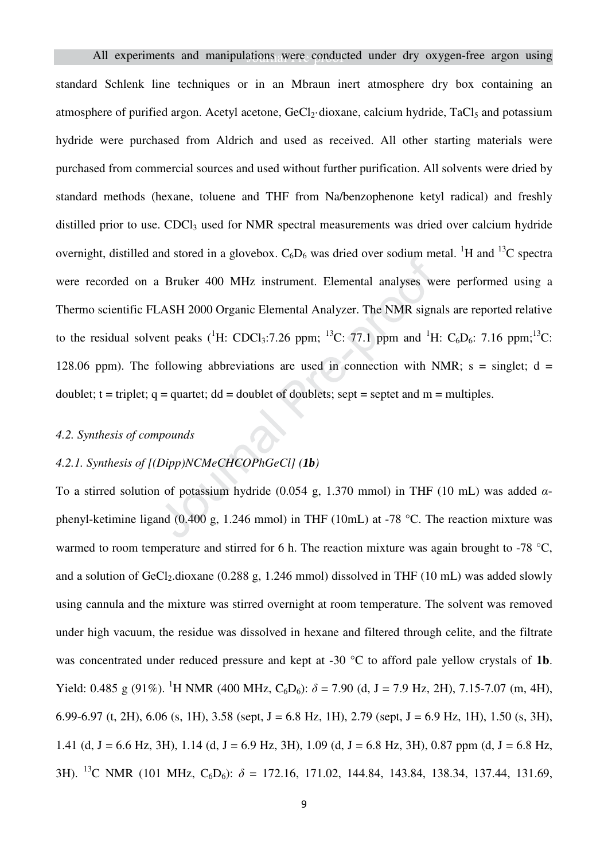All experiments and manipulations were conducted under dry oxygen-free argon using standard Schlenk line techniques or in an Mbraun inert atmosphere dry box containing an atmosphere of purified argon. Acetyl acetone, GeCl<sub>2</sub>·dioxane, calcium hydride, TaCl<sub>5</sub> and potassium hydride were purchased from Aldrich and used as received. All other starting materials were purchased from commercial sources and used without further purification. All solvents were dried by standard methods (hexane, toluene and THF from Na/benzophenone ketyl radical) and freshly distilled prior to use. CDCl<sub>3</sub> used for NMR spectral measurements was dried over calcium hydride overnight, distilled and stored in a glovebox.  $C_6D_6$  was dried over sodium metal. <sup>1</sup>H and <sup>13</sup>C spectra were recorded on a Bruker 400 MHz instrument. Elemental analyses were performed using a Thermo scientific FLASH 2000 Organic Elemental Analyzer. The NMR signals are reported relative to the residual solvent peaks (<sup>1</sup>H: CDCl<sub>3</sub>:7.26 ppm; <sup>13</sup>C: 77.1 ppm and <sup>1</sup>H: C<sub>6</sub>D<sub>6</sub>: 7.16 ppm;<sup>13</sup>C: 128.06 ppm). The following abbreviations are used in connection with NMR;  $s = singlet$ ;  $d =$ doublet;  $t = triplet$ ;  $q = quartet$ ;  $dd = doublet$  of doublets; sept = septet and  $m = multiples$ .

#### *4.2. Synthesis of compounds*

#### *4.2.1. Synthesis of [(Dipp)NCMeCHCOPhGeCl] (1b)*

To a stirred solution of potassium hydride (0.054 g, 1.370 mmol) in THF (10 mL) was added *α*phenyl-ketimine ligand (0.400 g, 1.246 mmol) in THF (10mL) at -78 °C. The reaction mixture was warmed to room temperature and stirred for 6 h. The reaction mixture was again brought to -78 °C, and a solution of  $GeCl_2$ .dioxane (0.288 g, 1.246 mmol) dissolved in THF (10 mL) was added slowly using cannula and the mixture was stirred overnight at room temperature. The solvent was removed under high vacuum, the residue was dissolved in hexane and filtered through celite, and the filtrate was concentrated under reduced pressure and kept at -30 °C to afford pale yellow crystals of **1b**. Yield: 0.485 g (91%). <sup>1</sup>H NMR (400 MHz, C<sub>6</sub>D<sub>6</sub>):  $\delta$  = 7.90 (d, J = 7.9 Hz, 2H), 7.15-7.07 (m, 4H), 6.99-6.97 (t, 2H), 6.06 (s, 1H), 3.58 (sept, J = 6.8 Hz, 1H), 2.79 (sept, J = 6.9 Hz, 1H), 1.50 (s, 3H), 1.41 (d, J = 6.6 Hz, 3H), 1.14 (d, J = 6.9 Hz, 3H), 1.09 (d, J = 6.8 Hz, 3H), 0.87 ppm (d, J = 6.8 Hz, 3H). <sup>13</sup>C NMR (101 MHz, C6D6): *δ* = 172.16, 171.02, 144.84, 143.84, 138.34, 137.44, 131.69,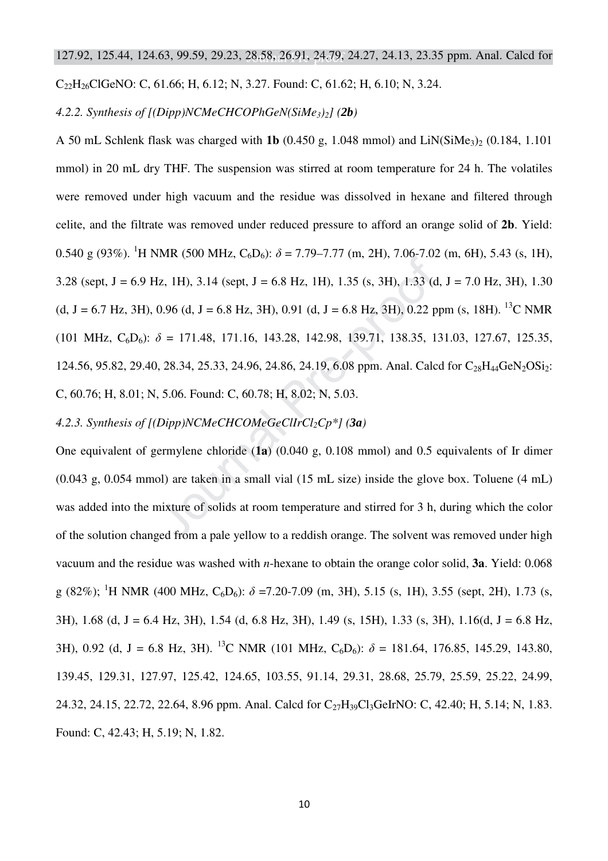$C_{22}H_{26}Cl$ GeNO: C, 61.66; H, 6.12; N, 3.27. Found: C, 61.62; H, 6.10; N, 3.24.

*4.2.2. Synthesis of [(Dipp)NCMeCHCOPhGeN(SiMe3)2] (2b)* 

A 50 mL Schlenk flask was charged with **1b** (0.450 g, 1.048 mmol) and LiN(SiMe<sub>3</sub>)<sub>2</sub> (0.184, 1.101 mmol) in 20 mL dry THF. The suspension was stirred at room temperature for 24 h. The volatiles were removed under high vacuum and the residue was dissolved in hexane and filtered through celite, and the filtrate was removed under reduced pressure to afford an orange solid of **2b**. Yield: 0.540 g (93%). <sup>1</sup>H NMR (500 MHz, C<sub>6</sub>D<sub>6</sub>):  $\delta$  = 7.79–7.77 (m, 2H), 7.06-7.02 (m, 6H), 5.43 (s, 1H), 3.28 (sept,  $J = 6.9$  Hz, 1H), 3.14 (sept,  $J = 6.8$  Hz, 1H), 1.35 (s, 3H), 1.33 (d,  $J = 7.0$  Hz, 3H), 1.30 (d, J = 6.7 Hz, 3H), 0.96 (d, J = 6.8 Hz, 3H), 0.91 (d, J = 6.8 Hz, 3H), 0.22 ppm (s, 18H). <sup>13</sup>C NMR (101 MHz,  $C_6D_6$ ):  $\delta = 171.48$ , 171.16, 143.28, 142.98, 139.71, 138.35, 131.03, 127.67, 125.35, 124.56, 95.82, 29.40, 28.34, 25.33, 24.96, 24.86, 24.19, 6.08 ppm. Anal. Calcd for  $C_{28}H_{44}$ GeN<sub>2</sub>OSi<sub>2</sub>: C, 60.76; H, 8.01; N, 5.06. Found: C, 60.78; H, 8.02; N, 5.03.

#### *4.2.3. Synthesis of [(Dipp)NCMeCHCOMeGeClIrCl2Cp\*] (3a)*

One equivalent of germylene chloride (**1a**) (0.040 g, 0.108 mmol) and 0.5 equivalents of Ir dimer (0.043 g, 0.054 mmol) are taken in a small vial (15 mL size) inside the glove box. Toluene (4 mL) was added into the mixture of solids at room temperature and stirred for 3 h, during which the color of the solution changed from a pale yellow to a reddish orange. The solvent was removed under high vacuum and the residue was washed with *n*-hexane to obtain the orange color solid, **3a**. Yield: 0.068 g (82%); <sup>1</sup>H NMR (400 MHz, C6D6): *δ* =7.20-7.09 (m, 3H), 5.15 (s, 1H), 3.55 (sept, 2H), 1.73 (s, 3H), 1.68 (d, J = 6.4 Hz, 3H), 1.54 (d, 6.8 Hz, 3H), 1.49 (s, 15H), 1.33 (s, 3H), 1.16(d, J = 6.8 Hz, 3H), 0.92 (d, J = 6.8 Hz, 3H). <sup>13</sup>C NMR (101 MHz, C<sub>6</sub>D<sub>6</sub>):  $\delta$  = 181.64, 176.85, 145.29, 143.80, 139.45, 129.31, 127.97, 125.42, 124.65, 103.55, 91.14, 29.31, 28.68, 25.79, 25.59, 25.22, 24.99, 24.32, 24.15, 22.72, 22.64, 8.96 ppm. Anal. Calcd for C<sub>27</sub>H<sub>39</sub>Cl<sub>3</sub>GeIrNO: C, 42.40; H, 5.14; N, 1.83. Found: C, 42.43; H, 5.19; N, 1.82.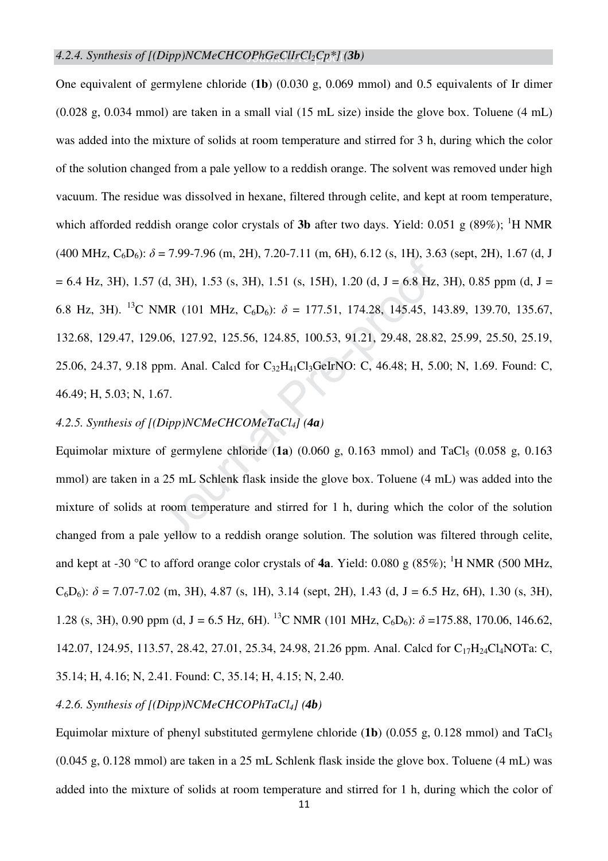One equivalent of germylene chloride (**1b**) (0.030 g, 0.069 mmol) and 0.5 equivalents of Ir dimer (0.028 g, 0.034 mmol) are taken in a small vial (15 mL size) inside the glove box. Toluene (4 mL) was added into the mixture of solids at room temperature and stirred for 3 h, during which the color of the solution changed from a pale yellow to a reddish orange. The solvent was removed under high vacuum. The residue was dissolved in hexane, filtered through celite, and kept at room temperature, which afforded reddish orange color crystals of **3b** after two days. Yield: 0.051 g (89%); <sup>1</sup>H NMR  $(400 \text{ MHz}, \text{C}_6\text{D}_6)$ :  $\delta$  = 7.99-7.96 (m, 2H), 7.20-7.11 (m, 6H), 6.12 (s, 1H), 3.63 (sept, 2H), 1.67 (d, J  $= 6.4$  Hz, 3H), 1.57 (d, 3H), 1.53 (s, 3H), 1.51 (s, 15H), 1.20 (d, J = 6.8 Hz, 3H), 0.85 ppm (d, J = 6.8 Hz, 3H). <sup>13</sup>C NMR (101 MHz, C<sub>6</sub>D<sub>6</sub>):  $\delta = 177.51$ , 174.28, 145.45, 143.89, 139.70, 135.67, 132.68, 129.47, 129.06, 127.92, 125.56, 124.85, 100.53, 91.21, 29.48, 28.82, 25.99, 25.50, 25.19, 25.06, 24.37, 9.18 ppm. Anal. Calcd for C<sub>32</sub>H<sub>41</sub>Cl<sub>3</sub>GeIrNO: C, 46.48; H, 5.00; N, 1.69. Found: C, 46.49; H, 5.03; N, 1.67.

#### *4.2.5. Synthesis of [(Dipp)NCMeCHCOMeTaCl4] (4a)*

Equimolar mixture of germylene chloride  $(1a)$   $(0.060 \text{ g}, 0.163 \text{ mmol})$  and TaCl<sub>5</sub>  $(0.058 \text{ g}, 0.163 \text{ mmol})$ mmol) are taken in a 25 mL Schlenk flask inside the glove box. Toluene (4 mL) was added into the mixture of solids at room temperature and stirred for 1 h, during which the color of the solution changed from a pale yellow to a reddish orange solution. The solution was filtered through celite, and kept at -30 °C to afford orange color crystals of **4a**. Yield: 0.080 g  $(85\%)$ ; <sup>1</sup>H NMR (500 MHz,  $C_6D_6$ :  $\delta$  = 7.07-7.02 (m, 3H), 4.87 (s, 1H), 3.14 (sept, 2H), 1.43 (d, J = 6.5 Hz, 6H), 1.30 (s, 3H), 1.28 (s, 3H), 0.90 ppm (d, J = 6.5 Hz, 6H). <sup>13</sup>C NMR (101 MHz, C<sub>6</sub>D<sub>6</sub>):  $\delta$  =175.88, 170.06, 146.62, 142.07, 124.95, 113.57, 28.42, 27.01, 25.34, 24.98, 21.26 ppm. Anal. Calcd for C17H24Cl4NOTa: C, 35.14; H, 4.16; N, 2.41. Found: C, 35.14; H, 4.15; N, 2.40.

#### *4.2.6. Synthesis of [(Dipp)NCMeCHCOPhTaCl4] (4b)*

Equimolar mixture of phenyl substituted germylene chloride (1b) (0.055 g, 0.128 mmol) and TaCl<sub>5</sub> (0.045 g, 0.128 mmol) are taken in a 25 mL Schlenk flask inside the glove box. Toluene (4 mL) was added into the mixture of solids at room temperature and stirred for 1 h, during which the color of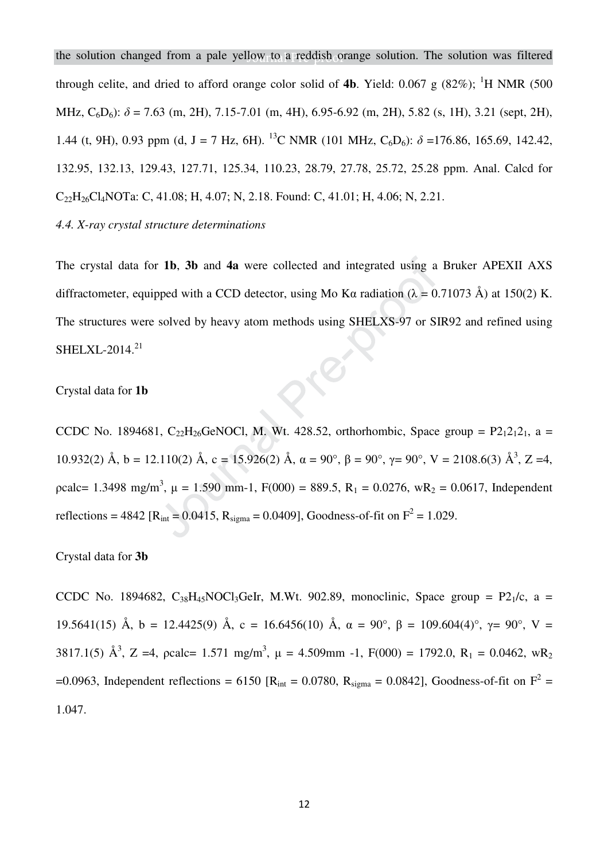the solution changed from a pale yellow to a reddish orange solution. The solution was filtered through celite, and dried to afford orange color solid of **4b**. Yield: 0.067 g  $(82\%)$ ; <sup>1</sup>H NMR (500) MHz,  $C_6D_6$ ):  $\delta$  = 7.63 (m, 2H), 7.15-7.01 (m, 4H), 6.95-6.92 (m, 2H), 5.82 (s, 1H), 3.21 (sept, 2H), 1.44 (t, 9H), 0.93 ppm (d, J = 7 Hz, 6H). <sup>13</sup>C NMR (101 MHz, C<sub>6</sub>D<sub>6</sub>):  $\delta$  =176.86, 165.69, 142.42, 132.95, 132.13, 129.43, 127.71, 125.34, 110.23, 28.79, 27.78, 25.72, 25.28 ppm. Anal. Calcd for C22H26Cl4NOTa: C, 41.08; H, 4.07; N, 2.18. Found: C, 41.01; H, 4.06; N, 2.21.

#### *4.4. X-ray crystal structure determinations*

The crystal data for **1b**, **3b** and **4a** were collected and integrated using a Bruker APEXII AXS diffractometer, equipped with a CCD detector, using Mo Kα radiation ( $\lambda = 0.71073$  Å) at 150(2) K. The structures were solved by heavy atom methods using SHELXS-97 or SIR92 and refined using  $SHELXL-2014.<sup>21</sup>$ OIR

#### Crystal data for **1b**

CCDC No. 1894681, C<sub>22</sub>H<sub>26</sub>GeNOCl, M. Wt. 428.52, orthorhombic, Space group =  $P2_12_12_1$ , a = 10.932(2) Å, b = 12.110(2) Å, c = 15.926(2) Å, α = 90°, β = 90°, γ = 90°, V = 2108.6(3) Å<sup>3</sup>, Z = 4, pcalc= 1.3498 mg/m<sup>3</sup>,  $\mu$  = 1.590 mm-1, F(000) = 889.5, R<sub>1</sub> = 0.0276, wR<sub>2</sub> = 0.0617, Independent reflections = 4842 [ $R_{int}$  = 0.0415,  $R_{sigma}$  = 0.0409], Goodness-of-fit on  $F^2$  = 1.029.

#### Crystal data for **3b**

CCDC No. 1894682,  $C_{38}H_{45}NOCl_3GeIr$ , M.Wt. 902.89, monoclinic, Space group = P2<sub>1</sub>/c, a = 19.5641(15) Å, b = 12.4425(9) Å, c = 16.6456(10) Å,  $\alpha = 90^{\circ}$ ,  $\beta = 109.604(4)^{\circ}$ ,  $\gamma = 90^{\circ}$ , V = 3817.1(5)  $\mathring{A}^3$ , Z =4, pcalc= 1.571 mg/m<sup>3</sup>,  $\mu$  = 4.509mm -1, F(000) = 1792.0, R<sub>1</sub> = 0.0462, wR<sub>2</sub> =0.0963, Independent reflections = 6150 [ $R_{int}$  = 0.0780,  $R_{sigma}$  = 0.0842], Goodness-of-fit on  $F^2$  = 1.047.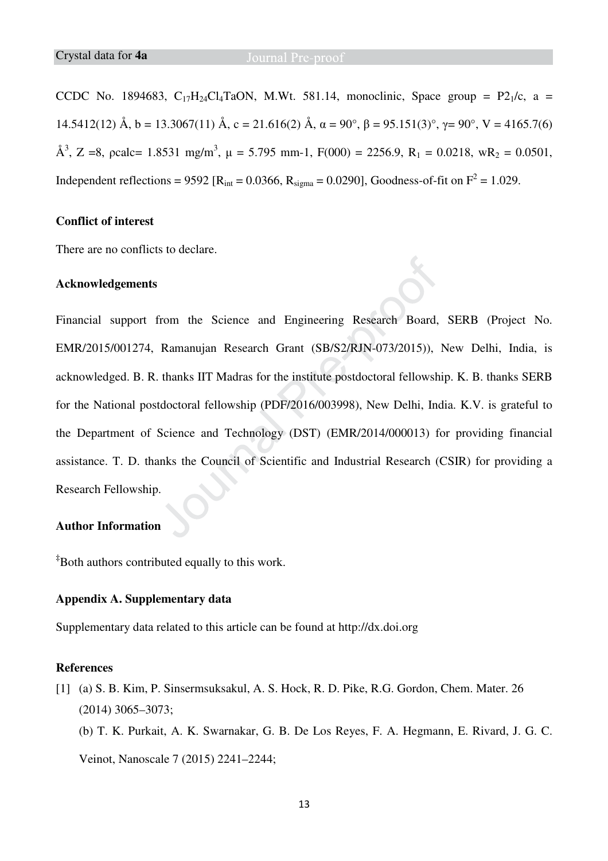CCDC No. 1894683,  $C_{17}H_{24}C_{4}TaON$ , M.Wt. 581.14, monoclinic, Space group = P2<sub>1</sub>/c, a = 14.5412(12) Å, b = 13.3067(11) Å, c = 21.616(2) Å,  $\alpha = 90^\circ$ ,  $\beta = 95.151(3)^\circ$ ,  $\gamma = 90^\circ$ , V = 4165.7(6) Å<sup>3</sup>, Z =8, pcalc= 1.8531 mg/m<sup>3</sup>,  $\mu$  = 5.795 mm-1, F(000) = 2256.9, R<sub>1</sub> = 0.0218, wR<sub>2</sub> = 0.0501, Independent reflections = 9592 [ $R_{int}$  = 0.0366,  $R_{sigma}$  = 0.0290], Goodness-of-fit on  $F^2$  = 1.029.

#### **Conflict of interest**

There are no conflicts to declare.

#### **Acknowledgements**

Financial support from the Science and Engineering Research Board, SERB (Project No. EMR/2015/001274, Ramanujan Research Grant (SB/S2/RJN-073/2015)), New Delhi, India, is acknowledged. B. R. thanks IIT Madras for the institute postdoctoral fellowship. K. B. thanks SERB for the National postdoctoral fellowship (PDF/2016/003998), New Delhi, India. K.V. is grateful to the Department of Science and Technology (DST) (EMR/2014/000013) for providing financial assistance. T. D. thanks the Council of Scientific and Industrial Research (CSIR) for providing a Research Fellowship.

#### **Author Information**

**‡**Both authors contributed equally to this work.

#### **Appendix A. Supplementary data**

Supplementary data related to this article can be found at http://dx.doi.org

#### **References**

- [1] (a) S. B. Kim, P. Sinsermsuksakul, A. S. Hock, R. D. Pike, R.G. Gordon, Chem. Mater. 26 (2014) 3065–3073;
	- (b) T. K. Purkait, A. K. Swarnakar, G. B. De Los Reyes, F. A. Hegmann, E. Rivard, J. G. C.

Veinot, Nanoscale 7 (2015) 2241–2244;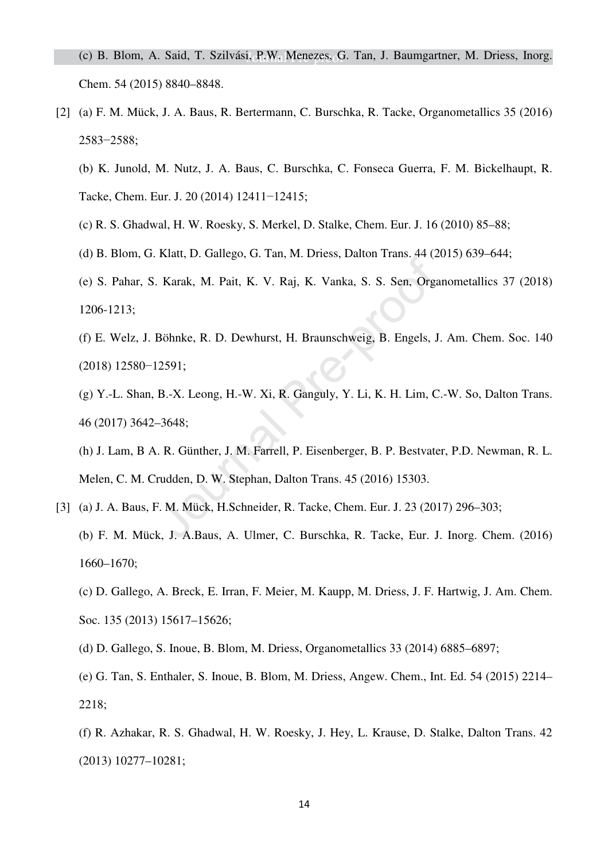- [2] (a) F. M. Mück, J. A. Baus, R. Bertermann, C. Burschka, R. Tacke, Organometallics 35 (2016) 2583−2588;
	- (b) K. Junold, M. Nutz, J. A. Baus, C. Burschka, C. Fonseca Guerra, F. M. Bickelhaupt, R. Tacke, Chem. Eur. J. 20 (2014) 12411−12415;
	- (c) R. S. Ghadwal, H. W. Roesky, S. Merkel, D. Stalke, Chem. Eur. J. 16 (2010) 85–88;
	- (d) B. Blom, G. Klatt, D. Gallego, G. Tan, M. Driess, Dalton Trans. 44 (2015) 639–644;
	- (e) S. Pahar, S. Karak, M. Pait, K. V. Raj, K. Vanka, S. S. Sen, Organometallics 37 (2018) 1206-1213;
	- (f) E. Welz, J. Böhnke, R. D. Dewhurst, H. Braunschweig, B. Engels, J. Am. Chem. Soc. 140 (2018) 12580−12591;
	- (g) Y.-L. Shan, B.-X. Leong, H.-W. Xi, R. Ganguly, Y. Li, K. H. Lim, C.-W. So, Dalton Trans. 46 (2017) 3642–3648;
	- (h) J. Lam, B A. R. Günther, J. M. Farrell, P. Eisenberger, B. P. Bestvater, P.D. Newman, R. L. Melen, C. M. Crudden, D. W. Stephan, Dalton Trans. 45 (2016) 15303.
- [3] (a) J. A. Baus, F. M. Mück, H.Schneider, R. Tacke, Chem. Eur. J. 23 (2017) 296–303; (b) F. M. Mück, J. A.Baus, A. Ulmer, C. Burschka, R. Tacke, Eur. J. Inorg. Chem. (2016) 1660–1670;
	- (c) D. Gallego, A. Breck, E. Irran, F. Meier, M. Kaupp, M. Driess, J. F. Hartwig, J. Am. Chem. Soc. 135 (2013) 15617–15626;
	- (d) D. Gallego, S. Inoue, B. Blom, M. Driess, Organometallics 33 (2014) 6885–6897;
	- (e) G. Tan, S. Enthaler, S. Inoue, B. Blom, M. Driess, Angew. Chem., Int. Ed. 54 (2015) 2214– 2218;
	- (f) R. Azhakar, R. S. Ghadwal, H. W. Roesky, J. Hey, L. Krause, D. Stalke, Dalton Trans. 42 (2013) 10277–10281;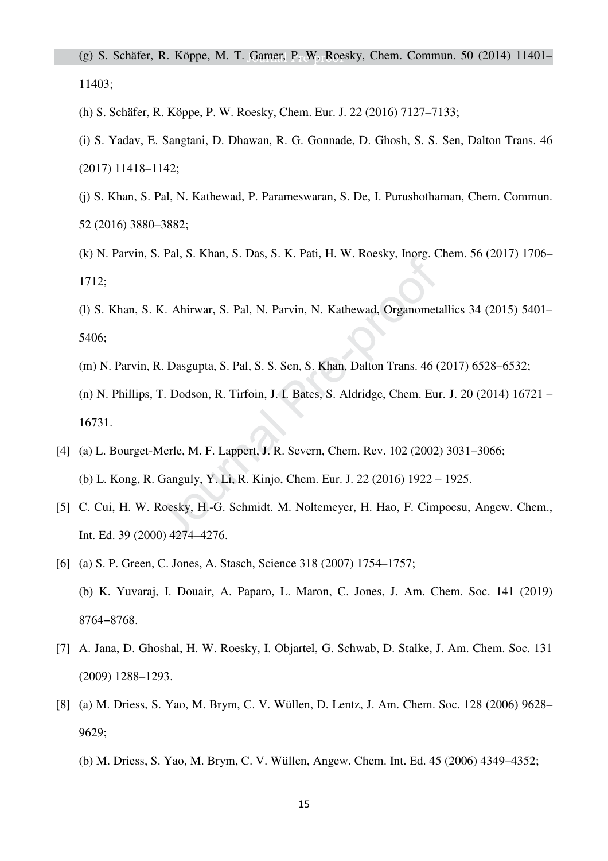(g) S. Schäfer, R. Köppe, M. T. Gamer, P. W. Roesky, Chem. Commun. 50 (2014) 11401– 11403;

- (h) S. Schäfer, R. Köppe, P. W. Roesky, Chem. Eur. J. 22 (2016) 7127–7133;
- (i) S. Yadav, E. Sangtani, D. Dhawan, R. G. Gonnade, D. Ghosh, S. S. Sen, Dalton Trans. 46 (2017) 11418–1142;
- (j) S. Khan, S. Pal, N. Kathewad, P. Parameswaran, S. De, I. Purushothaman, Chem. Commun. 52 (2016) 3880–3882;
- (k) N. Parvin, S. Pal, S. Khan, S. Das, S. K. Pati, H. W. Roesky, Inorg. Chem. 56 (2017) 1706– 1712;
- (l) S. Khan, S. K. Ahirwar, S. Pal, N. Parvin, N. Kathewad, Organometallics 34 (2015) 5401– 5406;
- (m) N. Parvin, R. Dasgupta, S. Pal, S. S. Sen, S. Khan, Dalton Trans. 46 (2017) 6528–6532;
- (n) N. Phillips, T. Dodson, R. Tirfoin, J. I. Bates, S. Aldridge, Chem. Eur. J. 20 (2014) 16721 16731.
- [4] (a) L. Bourget-Merle, M. F. Lappert, J. R. Severn, Chem. Rev. 102 (2002) 3031–3066; (b) L. Kong, R. Ganguly, Y. Li, R. Kinjo, Chem. Eur. J. 22 (2016) 1922 – 1925.
- [5] C. Cui, H. W. Roesky, H.-G. Schmidt. M. Noltemeyer, H. Hao, F. Cimpoesu, Angew. Chem., Int. Ed. 39 (2000) 4274–4276.
- [6] (a) S. P. Green, C. Jones, A. Stasch, Science 318 (2007) 1754–1757; (b) K. Yuvaraj, I. Douair, A. Paparo, L. Maron, C. Jones, J. Am. Chem. Soc. 141 (2019) 8764−8768.
- [7] A. Jana, D. Ghoshal, H. W. Roesky, I. Objartel, G. Schwab, D. Stalke, J. Am. Chem. Soc. 131 (2009) 1288–1293.
- [8] (a) M. Driess, S. Yao, M. Brym, C. V. Wüllen, D. Lentz, J. Am. Chem. Soc. 128 (2006) 9628– 9629;
	- (b) M. Driess, S. Yao, M. Brym, C. V. Wüllen, Angew. Chem. Int. Ed. 45 (2006) 4349–4352;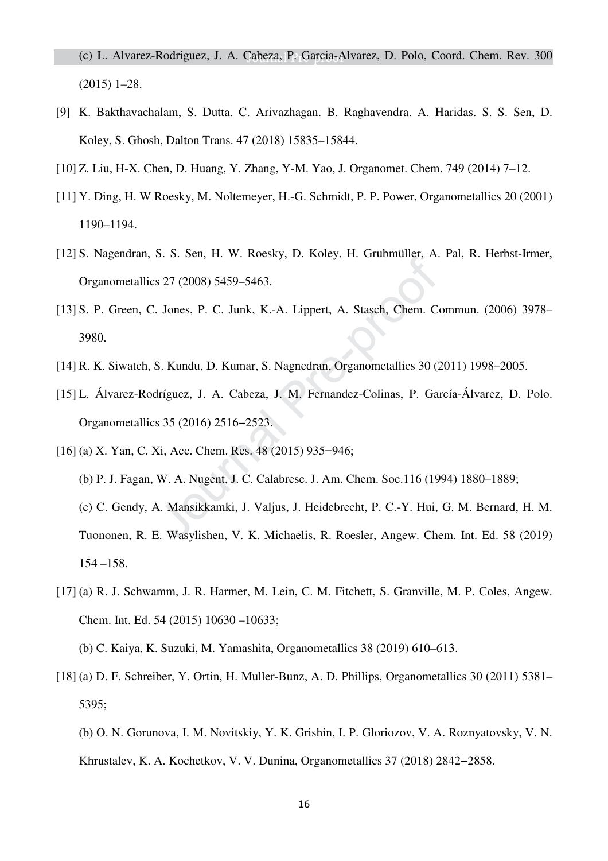(c) L. Alvarez-Rodriguez, J. A. Cabeza, P. Garcia-Alvarez, D. Polo, Coord. Chem. Rev. 300 (2015) 1–28.

- [9] K. Bakthavachalam, S. Dutta. C. Arivazhagan. B. Raghavendra. A. Haridas. S. S. Sen, D. Koley, S. Ghosh, Dalton Trans. 47 (2018) 15835–15844.
- [10] Z. Liu, H-X. Chen, D. Huang, Y. Zhang, Y-M. Yao, J. Organomet. Chem. 749 (2014) 7–12.
- [11] Y. Ding, H. W Roesky, M. Noltemeyer, H.-G. Schmidt, P. P. Power, Organometallics 20 (2001) 1190–1194.
- [12] S. Nagendran, S. S. Sen, H. W. Roesky, D. Koley, H. Grubmüller, A. Pal, R. Herbst-Irmer, Organometallics 27 (2008) 5459–5463.
- [13] S. P. Green, C. Jones, P. C. Junk, K.-A. Lippert, A. Stasch, Chem. Commun. (2006) 3978– 3980.
- [14] R. K. Siwatch, S. Kundu, D. Kumar, S. Nagnedran, Organometallics 30 (2011) 1998–2005.
- [15] L. Álvarez-Rodríguez, J. A. Cabeza, J. M. Fernandez-Colinas, P. García-Álvarez, D. Polo. Organometallics 35 (2016) 2516−2523.
- [16] (a) X. Yan, C. Xi, Acc. Chem. Res. 48 (2015) 935–946;
	- (b) P. J. Fagan, W. A. Nugent, J. C. Calabrese. J. Am. Chem. Soc.116 (1994) 1880–1889; (c) C. Gendy, A. Mansikkamki, J. Valjus, J. Heidebrecht, P. C.-Y. Hui, G. M. Bernard, H. M. Tuononen, R. E. Wasylishen, V. K. Michaelis, R. Roesler, Angew. Chem. Int. Ed. 58 (2019) 154 –158.
- [17] (a) R. J. Schwamm, J. R. Harmer, M. Lein, C. M. Fitchett, S. Granville, M. P. Coles, Angew. Chem. Int. Ed. 54 (2015) 10630 –10633;

(b) C. Kaiya, K. Suzuki, M. Yamashita, Organometallics 38 (2019) 610–613.

- [18] (a) D. F. Schreiber, Y. Ortin, H. Muller-Bunz, A. D. Phillips, Organometallics 30 (2011) 5381– 5395;
	- (b) O. N. Gorunova, I. M. Novitskiy, Y. K. Grishin, I. P. Gloriozov, V. A. Roznyatovsky, V. N. Khrustalev, K. A. Kochetkov, V. V. Dunina, Organometallics 37 (2018) 2842−2858.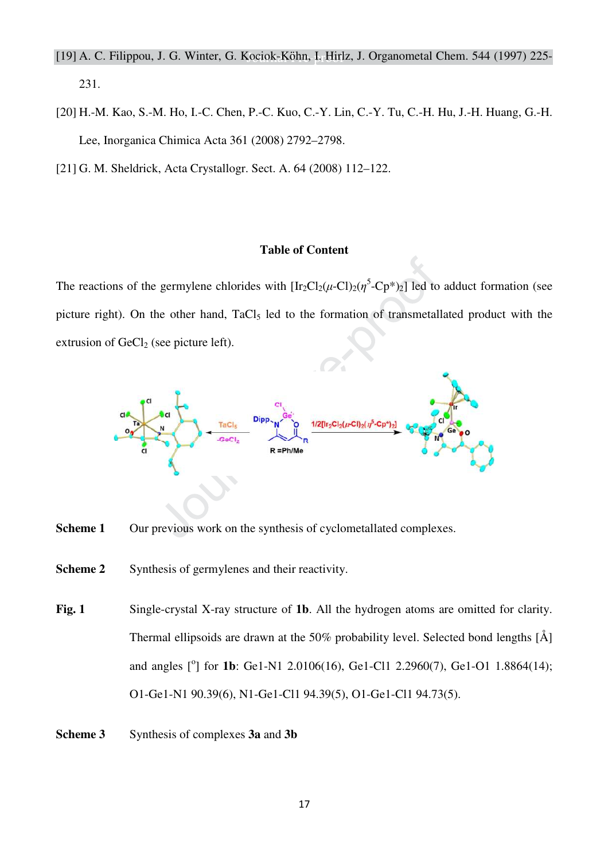#### [19] A. C. Filippou, J. G. Winter, G. Kociok-Kӧhn, I. Hirlz, J. Organometal Chem. 544 (1997) 225-

231.

- [20] H.-M. Kao, S.-M. Ho, I.-C. Chen, P.-C. Kuo, C.-Y. Lin, C.-Y. Tu, C.-H. Hu, J.-H. Huang, G.-H. Lee, Inorganica Chimica Acta 361 (2008) 2792–2798.
- [21] G. M. Sheldrick, Acta Crystallogr. Sect. A. 64 (2008) 112–122.

#### **Table of Content**

The reactions of the germylene chlorides with  $[\text{Ir}_2\text{Cl}_2(\mu-\text{Cl})_2(\eta^5-\text{Cp*})_2]$  led to adduct formation (see picture right). On the other hand, TaCl<sub>5</sub> led to the formation of transmetallated product with the extrusion of  $GeCl<sub>2</sub>$  (see picture left).



- **Scheme 1** Our previous work on the synthesis of cyclometallated complexes.
- **Scheme 2** Synthesis of germylenes and their reactivity.
- **Fig. 1** Single-crystal X-ray structure of **1b**. All the hydrogen atoms are omitted for clarity. Thermal ellipsoids are drawn at the 50% probability level. Selected bond lengths [Å] and angles [<sup>o</sup>] for **1b**: Ge1-N1 2.0106(16), Ge1-Cl1 2.2960(7), Ge1-O1 1.8864(14); O1-Ge1-N1 90.39(6), N1-Ge1-Cl1 94.39(5), O1-Ge1-Cl1 94.73(5).
- **Scheme 3** Synthesis of complexes **3a** and **3b**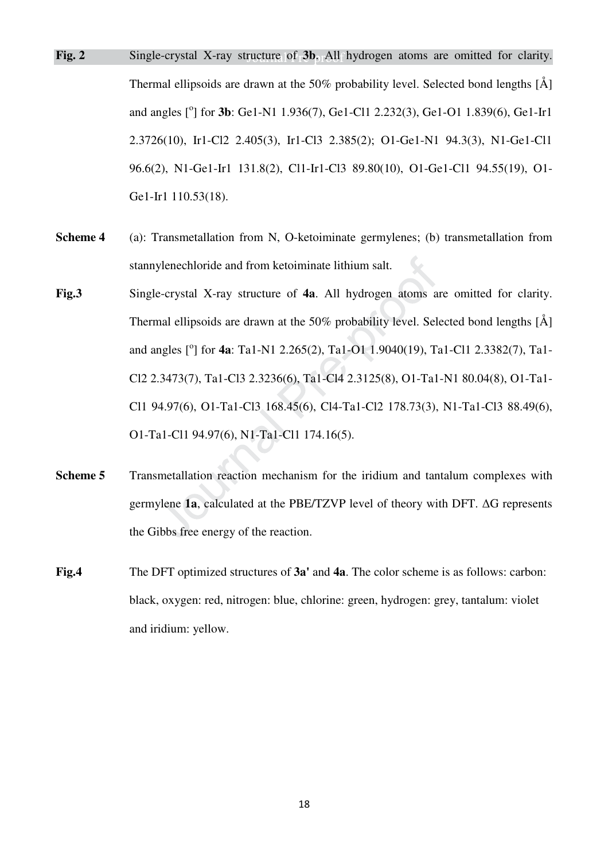- **Fig. 2** Single-crystal X-ray structure of 3b. All hydrogen atoms are omitted for clarity. Thermal ellipsoids are drawn at the 50% probability level. Selected bond lengths [Å] and angles [<sup>o</sup>] for **3b**: Ge1-N1 1.936(7), Ge1-Cl1 2.232(3), Ge1-O1 1.839(6), Ge1-Ir1 2.3726(10), Ir1-Cl2 2.405(3), Ir1-Cl3 2.385(2); O1-Ge1-N1 94.3(3), N1-Ge1-Cl1 96.6(2), N1-Ge1-Ir1 131.8(2), Cl1-Ir1-Cl3 89.80(10), O1-Ge1-Cl1 94.55(19), O1- Ge1-Ir1 110.53(18).
- **Scheme 4** (a): Transmetallation from N, O-ketoiminate germylenes; (b) transmetallation from stannylenechloride and from ketoiminate lithium salt.
- **Fig.3** Single-crystal X-ray structure of **4a**. All hydrogen atoms are omitted for clarity. Thermal ellipsoids are drawn at the 50% probability level. Selected bond lengths [Å] and angles [°] for **4a**: Ta1-N1 2.265(2), Ta1-O1 1.9040(19), Ta1-Cl1 2.3382(7), Ta1-Cl2 2.3473(7), Ta1-Cl3 2.3236(6), Ta1-Cl4 2.3125(8), O1-Ta1-N1 80.04(8), O1-Ta1- Cl1 94.97(6), O1-Ta1-Cl3 168.45(6), Cl4-Ta1-Cl2 178.73(3), N1-Ta1-Cl3 88.49(6), O1-Ta1-Cl1 94.97(6), N1-Ta1-Cl1 174.16(5).
- **Scheme 5 Transmetallation reaction mechanism for the iridium and tantalum complexes with** germylene  $1a$ , calculated at the PBE/TZVP level of theory with DFT.  $\Delta G$  represents the Gibbs free energy of the reaction.
- **Fig.4** The DFT optimized structures of **3a'** and **4a**. The color scheme is as follows: carbon: black, oxygen: red, nitrogen: blue, chlorine: green, hydrogen: grey, tantalum: violet and iridium: yellow.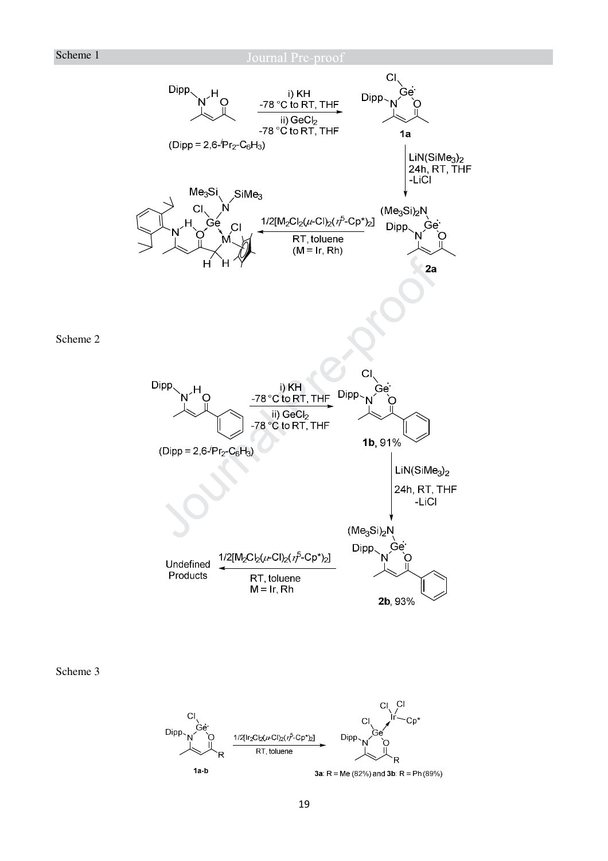Scheme 2



Scheme 3

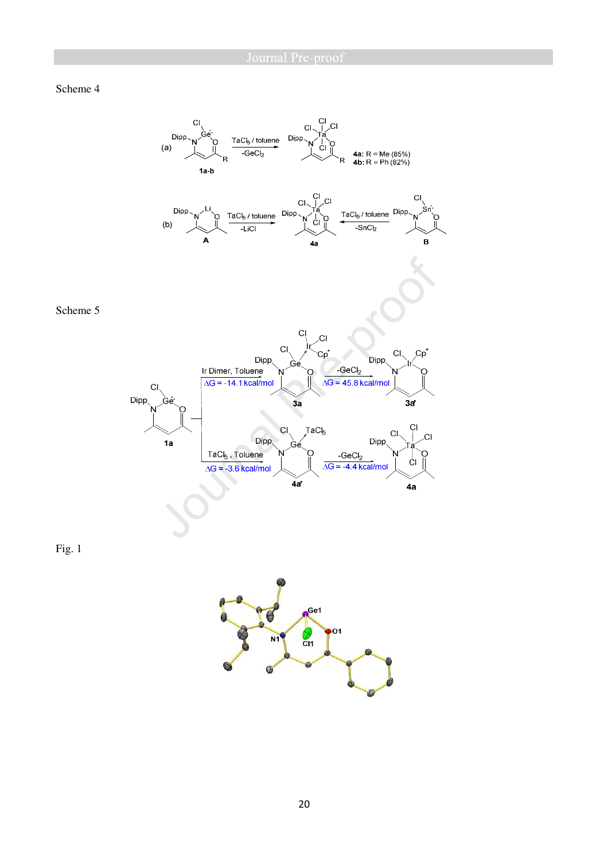#### Scheme 4

Fig. 1



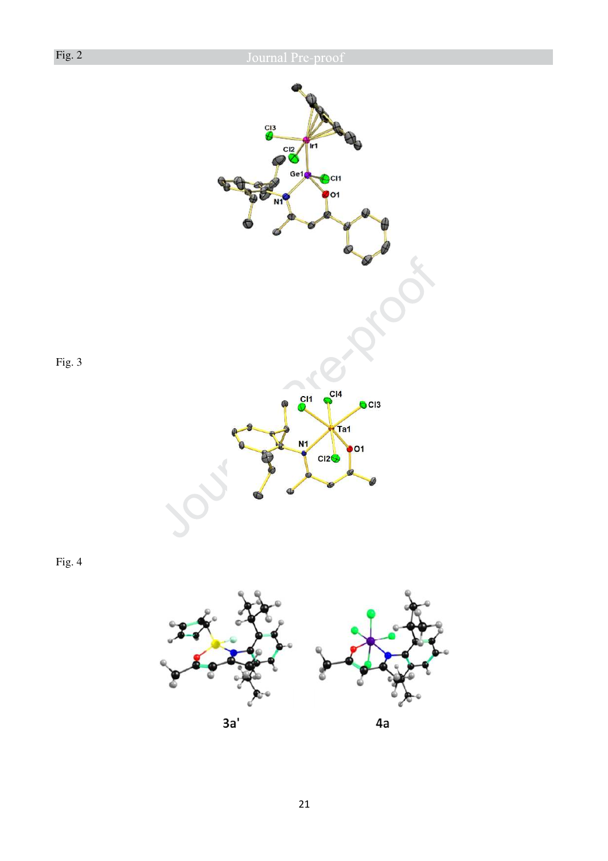

Fig. 4

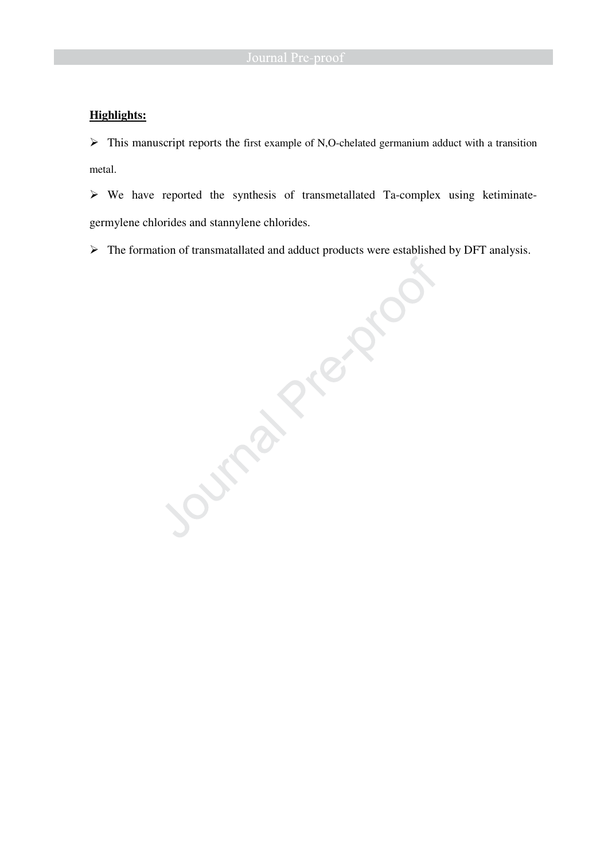#### **Highlights:**

 $\triangleright$  This manuscript reports the first example of N,O-chelated germanium adduct with a transition metal.

 $\triangleright$  We have reported the synthesis of transmetallated Ta-complex using ketiminate-

The formation of transmatallated and adduct products were established by DFT analysis.

germylene chlorides and stannylene chlorides.<br>
> The formation of transmatallated and adduct products were esta